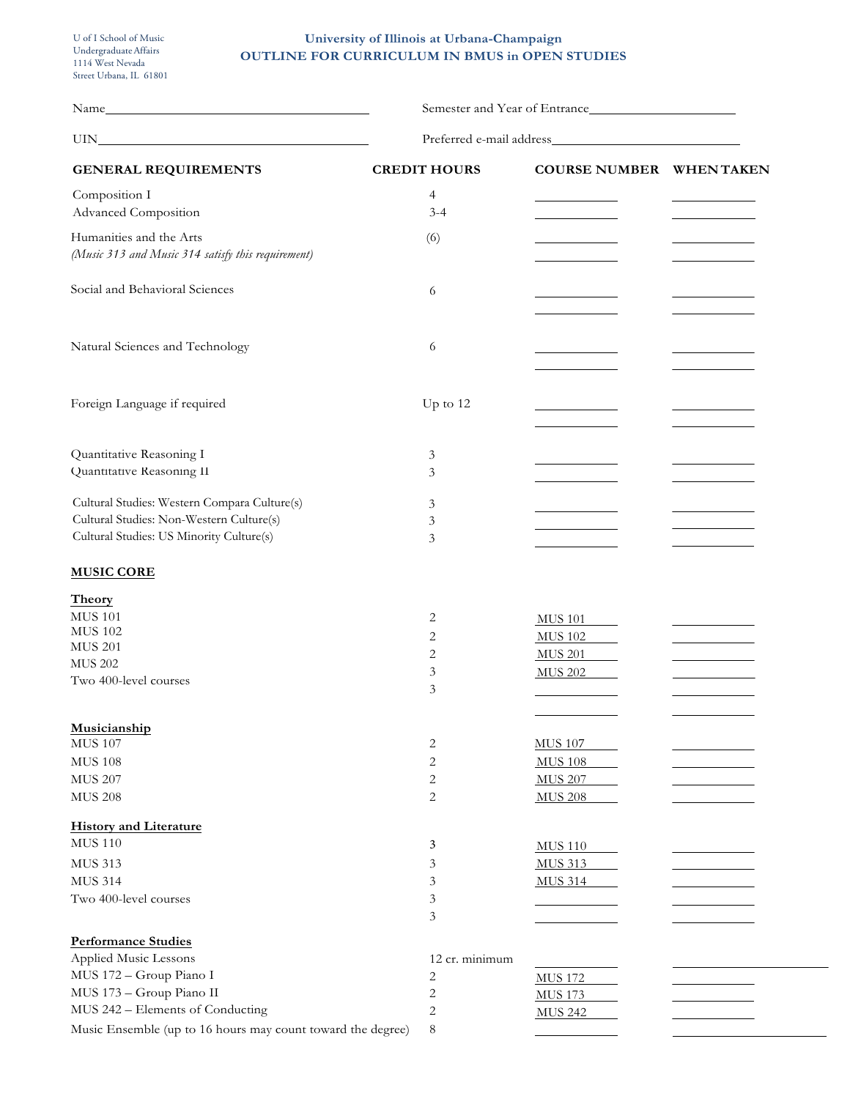## **University of Illinois at Urbana-Champaign OUTLINE FOR CURRICULUM IN BMUS in OPEN STUDIES**

|                                                             | Semester and Year of Entrance |                                 |  |  |  |
|-------------------------------------------------------------|-------------------------------|---------------------------------|--|--|--|
|                                                             | Preferred e-mail address      |                                 |  |  |  |
| <b>GENERAL REQUIREMENTS</b>                                 | <b>CREDIT HOURS</b>           | <b>COURSE NUMBER WHEN TAKEN</b> |  |  |  |
| Composition I                                               | 4                             |                                 |  |  |  |
| Advanced Composition                                        | $3 - 4$                       |                                 |  |  |  |
| Humanities and the Arts                                     | (6)                           |                                 |  |  |  |
| (Music 313 and Music 314 satisfy this requirement)          |                               |                                 |  |  |  |
| Social and Behavioral Sciences                              | 6                             |                                 |  |  |  |
|                                                             |                               |                                 |  |  |  |
| Natural Sciences and Technology                             | 6                             |                                 |  |  |  |
|                                                             |                               |                                 |  |  |  |
| Foreign Language if required                                | Up to 12                      |                                 |  |  |  |
|                                                             |                               |                                 |  |  |  |
| Quantitative Reasoning I                                    | 3                             |                                 |  |  |  |
| Quantitative Reasoning II                                   | 3                             |                                 |  |  |  |
| Cultural Studies: Western Compara Culture(s)                | 3                             |                                 |  |  |  |
| Cultural Studies: Non-Western Culture(s)                    | 3                             |                                 |  |  |  |
| Cultural Studies: US Minority Culture(s)                    | 3                             |                                 |  |  |  |
| <b>MUSIC CORE</b>                                           |                               |                                 |  |  |  |
| Theory                                                      |                               |                                 |  |  |  |
| <b>MUS 101</b>                                              | 2                             | <b>MUS 101</b>                  |  |  |  |
| <b>MUS 102</b>                                              | 2                             | <b>MUS 102</b>                  |  |  |  |
| <b>MUS 201</b><br><b>MUS 202</b>                            | 2                             | <b>MUS 201</b>                  |  |  |  |
| Two 400-level courses                                       | 3                             | <b>MUS 202</b>                  |  |  |  |
|                                                             | 3                             |                                 |  |  |  |
|                                                             |                               |                                 |  |  |  |
| Musicianship                                                |                               |                                 |  |  |  |
| <b>MUS 107</b>                                              | 2                             | <b>MUS 107</b>                  |  |  |  |
| <b>MUS 108</b>                                              | 2                             | <b>MUS 108</b>                  |  |  |  |
| <b>MUS 207</b>                                              | 2                             | <b>MUS 207</b>                  |  |  |  |
| <b>MUS 208</b>                                              | 2                             | <b>MUS 208</b>                  |  |  |  |
| <b>History and Literature</b>                               |                               |                                 |  |  |  |
| <b>MUS 110</b>                                              | 3                             | <b>MUS 110</b>                  |  |  |  |
| <b>MUS 313</b>                                              | 3                             | <b>MUS 313</b>                  |  |  |  |
| <b>MUS 314</b>                                              | 3                             | <b>MUS 314</b>                  |  |  |  |
| Two 400-level courses                                       | 3                             |                                 |  |  |  |
|                                                             | 3                             |                                 |  |  |  |
| <b>Performance Studies</b>                                  |                               |                                 |  |  |  |
| Applied Music Lessons                                       | 12 cr. minimum                |                                 |  |  |  |
| MUS 172 - Group Piano I                                     | 2                             | <b>MUS 172</b>                  |  |  |  |
| MUS 173 - Group Piano II                                    | 2                             | <b>MUS 173</b>                  |  |  |  |
| MUS 242 - Elements of Conducting                            | 2                             | <b>MUS 242</b>                  |  |  |  |
| Music Ensemble (up to 16 hours may count toward the degree) | 8                             |                                 |  |  |  |

 $\overline{\phantom{a}}$